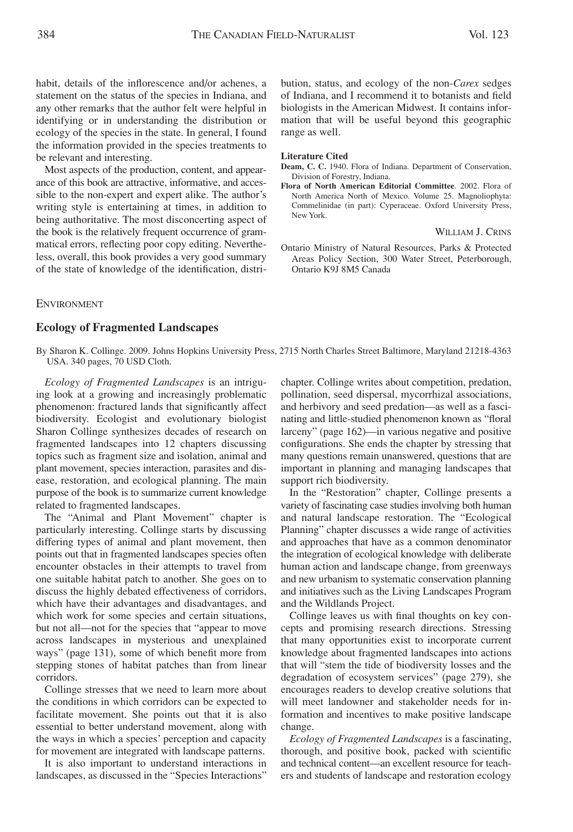habit, details of the inflorescence and/or achenes, a statement on the status of the species in Indiana, and any other remarks that the author felt were helpful in identifying or in understanding the distribution or ecology of the species in the state. In general, I found the information provided in the species treatments to be relevant and interesting.

Most aspects of the production, content, and appearance of this book are attractive, informative, and accessible to the non-expert and expert alike. The author's writing style is entertaining at times, in addition to being authoritative. The most disconcerting aspect of the book is the relatively frequent occurrence of grammatical errors, reflecting poor copy editing. Nevertheless, overall, this book provides a very good summary of the state of knowledge of the identification, distribution, status, and ecology of the non-*Carex* sedges of Indiana, and I recommend it to botanists and field biologists in the American Midwest. It contains information that will be useful beyond this geographic range as well.

#### **Literature Cited**

**Deam, C. C.** 1940. Flora of Indiana. Department of Conservation, Division of Forestry, Indiana.

**Flora of North American Editorial Committee**. 2002. Flora of North America North of Mexico. Volume 25. Magnoliophyta: Commelinidae (in part): Cyperaceae. Oxford University Press, New York.

WILLIAM J. CRINS

Ontario Ministry of Natural Resources, Parks & Protected Areas Policy Section, 300 Water Street, Peterborough, Ontario K9J 8M5 Canada

## **ENVIRONMENT**

### **Ecology of Fragmented Landscapes**

By Sharon K. Collinge. 2009. Johns Hopkins University Press, 2715 North Charles Street Baltimore, Maryland 21218-4363 USA. 340 pages, 70 USD Cloth.

*Ecology of Fragmented Landscapes* is an intriguing look at a growing and increasingly problematic phenomenon: fractured lands that significantly affect biodiversity. Ecologist and evolutionary biologist Sharon Collinge synthesizes decades of research on fragmented landscapes into 12 chapters discussing topics such as fragment size and isolation, animal and plant movement, species interaction, parasites and disease, restoration, and ecological planning. The main purpose of the book is to summarize current knowledge related to fragmented landscapes.

The "Animal and Plant Movement" chapter is particularly interesting. Collinge starts by discussing differing types of animal and plant movement, then points out that in fragmented landscapes species often encounter obstacles in their attempts to travel from one suitable habitat patch to another. She goes on to discuss the highly debated effectiveness of corridors, which have their advantages and disadvantages, and which work for some species and certain situations, but not all—not for the species that "appear to move across landscapes in mysterious and unexplained ways" (page 131), some of which benefit more from stepping stones of habitat patches than from linear corridors.

Collinge stresses that we need to learn more about the conditions in which corridors can be expected to facilitate movement. She points out that it is also essential to better understand movement, along with the ways in which a species' perception and capacity for movement are integrated with landscape patterns.

It is also important to understand interactions in landscapes, as discussed in the "Species Interactions" chapter. Collinge writes about competition, predation, pollination, seed dispersal, mycorrhizal associations, and herbivory and seed predation—as well as a fascinating and little-studied phenomenon known as "floral larceny" (page 162)—in various negative and positive configurations. She ends the chapter by stressing that many questions remain unanswered, questions that are important in planning and managing landscapes that support rich biodiversity.

In the "Restoration" chapter, Collinge presents a variety of fascinating case studies involving both human and natural landscape restoration. The "Ecological Planning" chapter discusses a wide range of activities and approaches that have as a common denominator the integration of ecological knowledge with deliberate human action and landscape change, from greenways and new urbanism to systematic conservation planning and initiatives such as the Living Landscapes Program and the Wildlands Project.

Collinge leaves us with final thoughts on key concepts and promising research directions. Stressing that many opportunities exist to incorporate current knowledge about fragmented landscapes into actions that will "stem the tide of biodiversity losses and the degradation of ecosystem services" (page 279), she encourages readers to develop creative solutions that will meet landowner and stakeholder needs for information and incentives to make positive landscape change.

*Ecology of Fragmented Landscapes* is a fascinating, thorough, and positive book, packed with scientific and technical content—an excellent resource for teachers and students of landscape and restoration ecology